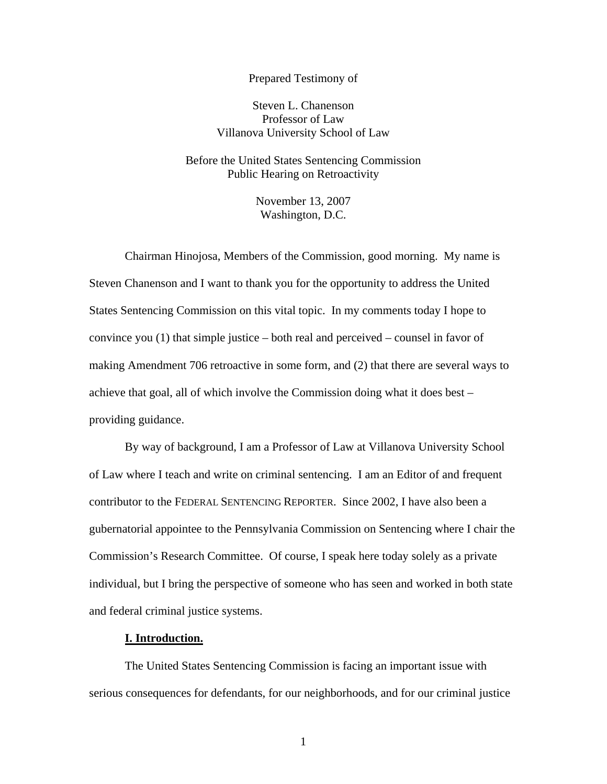## Prepared Testimony of

# Steven L. Chanenson Professor of Law Villanova University School of Law

# Before the United States Sentencing Commission Public Hearing on Retroactivity

November 13, 2007 Washington, D.C.

Chairman Hinojosa, Members of the Commission, good morning. My name is Steven Chanenson and I want to thank you for the opportunity to address the United States Sentencing Commission on this vital topic. In my comments today I hope to convince you (1) that simple justice – both real and perceived – counsel in favor of making Amendment 706 retroactive in some form, and (2) that there are several ways to achieve that goal, all of which involve the Commission doing what it does best – providing guidance.

By way of background, I am a Professor of Law at Villanova University School of Law where I teach and write on criminal sentencing. I am an Editor of and frequent contributor to the FEDERAL SENTENCING REPORTER. Since 2002, I have also been a gubernatorial appointee to the Pennsylvania Commission on Sentencing where I chair the Commission's Research Committee. Of course, I speak here today solely as a private individual, but I bring the perspective of someone who has seen and worked in both state and federal criminal justice systems.

### **I. Introduction.**

The United States Sentencing Commission is facing an important issue with serious consequences for defendants, for our neighborhoods, and for our criminal justice

1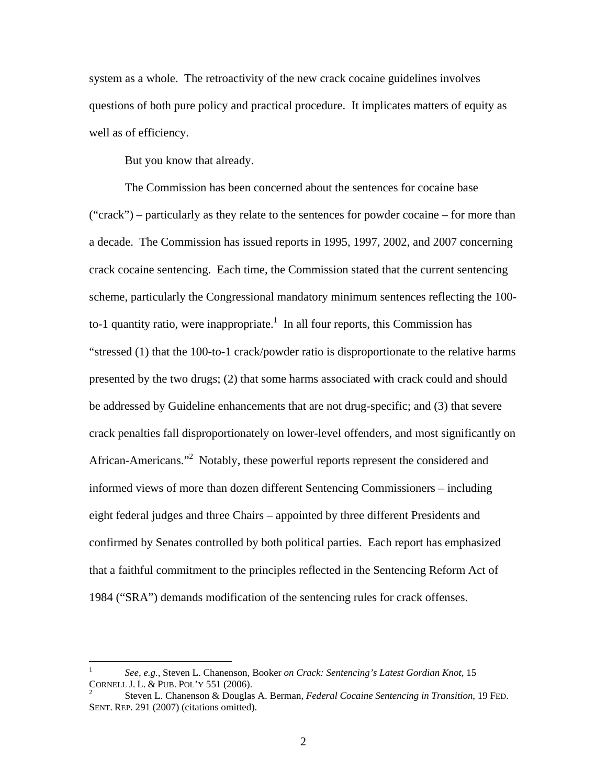system as a whole. The retroactivity of the new crack cocaine guidelines involves questions of both pure policy and practical procedure. It implicates matters of equity as well as of efficiency.

But you know that already.

The Commission has been concerned about the sentences for cocaine base ("crack") – particularly as they relate to the sentences for powder cocaine – for more than a decade. The Commission has issued reports in 1995, 1997, 2002, and 2007 concerning crack cocaine sentencing. Each time, the Commission stated that the current sentencing scheme, particularly the Congressional mandatory minimum sentences reflecting the 100 to-1 quantity ratio, were inappropriate.<sup>1</sup> In all four reports, this Commission has "stressed (1) that the 100-to-1 crack/powder ratio is disproportionate to the relative harms presented by the two drugs; (2) that some harms associated with crack could and should be addressed by Guideline enhancements that are not drug-specific; and (3) that severe crack penalties fall disproportionately on lower-level offenders, and most significantly on African-Americans."<sup>2</sup> Notably, these powerful reports represent the considered and informed views of more than dozen different Sentencing Commissioners – including eight federal judges and three Chairs – appointed by three different Presidents and confirmed by Senates controlled by both political parties. Each report has emphasized that a faithful commitment to the principles reflected in the Sentencing Reform Act of 1984 ("SRA") demands modification of the sentencing rules for crack offenses.

<u>.</u>

<sup>1</sup> *See, e.g.,* Steven L. Chanenson, Booker *on Crack: Sentencing's Latest Gordian Knot*, 15 CORNELL J. L. & PUB. POL'Y 551 (2006). 2

Steven L. Chanenson & Douglas A. Berman, *Federal Cocaine Sentencing in Transition*, 19 FED. SENT. REP. 291 (2007) (citations omitted).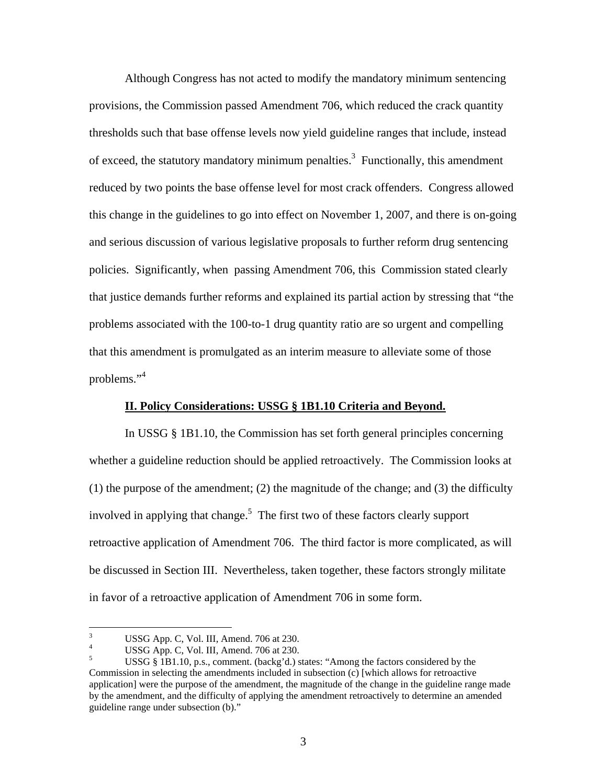Although Congress has not acted to modify the mandatory minimum sentencing provisions, the Commission passed Amendment 706, which reduced the crack quantity thresholds such that base offense levels now yield guideline ranges that include, instead of exceed, the statutory mandatory minimum penalties.<sup>3</sup> Functionally, this amendment reduced by two points the base offense level for most crack offenders. Congress allowed this change in the guidelines to go into effect on November 1, 2007, and there is on-going and serious discussion of various legislative proposals to further reform drug sentencing policies. Significantly, when passing Amendment 706, this Commission stated clearly that justice demands further reforms and explained its partial action by stressing that "the problems associated with the 100-to-1 drug quantity ratio are so urgent and compelling that this amendment is promulgated as an interim measure to alleviate some of those problems."<sup>4</sup>

## **II. Policy Considerations: USSG § 1B1.10 Criteria and Beyond.**

In USSG § 1B1.10, the Commission has set forth general principles concerning whether a guideline reduction should be applied retroactively. The Commission looks at  $(1)$  the purpose of the amendment;  $(2)$  the magnitude of the change; and  $(3)$  the difficulty involved in applying that change.<sup>5</sup> The first two of these factors clearly support retroactive application of Amendment 706. The third factor is more complicated, as will be discussed in Section III. Nevertheless, taken together, these factors strongly militate in favor of a retroactive application of Amendment 706 in some form.

 $\frac{1}{3}$ USSG App. C, Vol. III, Amend. 706 at 230.

<sup>4</sup> USSG App. C, Vol. III, Amend. 706 at 230.

<sup>5</sup> USSG § 1B1.10, p.s., comment. (backg'd.) states: "Among the factors considered by the Commission in selecting the amendments included in subsection (c) [which allows for retroactive application] were the purpose of the amendment, the magnitude of the change in the guideline range made by the amendment, and the difficulty of applying the amendment retroactively to determine an amended guideline range under subsection (b)."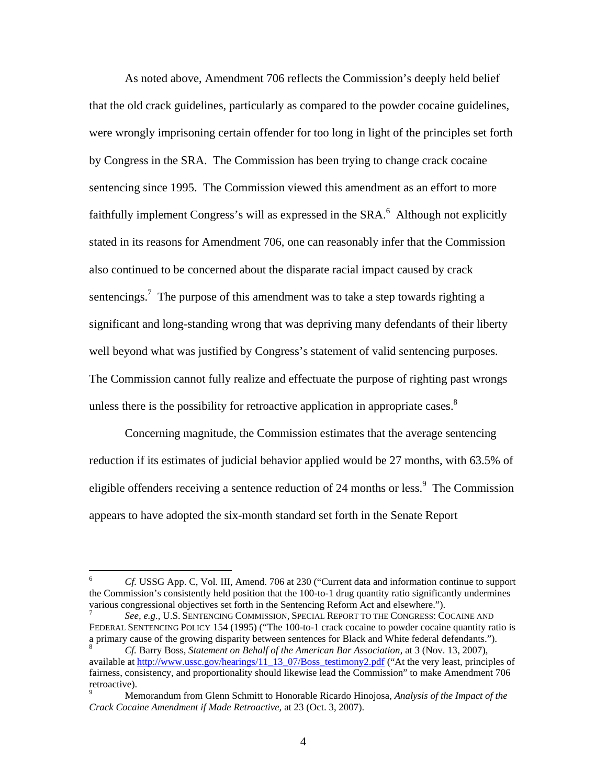As noted above, Amendment 706 reflects the Commission's deeply held belief that the old crack guidelines, particularly as compared to the powder cocaine guidelines, were wrongly imprisoning certain offender for too long in light of the principles set forth by Congress in the SRA. The Commission has been trying to change crack cocaine sentencing since 1995. The Commission viewed this amendment as an effort to more faithfully implement Congress's will as expressed in the SRA.<sup>6</sup> Although not explicitly stated in its reasons for Amendment 706, one can reasonably infer that the Commission also continued to be concerned about the disparate racial impact caused by crack sentencings.<sup>7</sup> The purpose of this amendment was to take a step towards righting a significant and long-standing wrong that was depriving many defendants of their liberty well beyond what was justified by Congress's statement of valid sentencing purposes. The Commission cannot fully realize and effectuate the purpose of righting past wrongs unless there is the possibility for retroactive application in appropriate cases.<sup>8</sup>

Concerning magnitude, the Commission estimates that the average sentencing reduction if its estimates of judicial behavior applied would be 27 months, with 63.5% of eligible offenders receiving a sentence reduction of 24 months or less.<sup>9</sup> The Commission appears to have adopted the six-month standard set forth in the Senate Report

 $\overline{a}$ 

<sup>6</sup> *Cf.* USSG App. C, Vol. III, Amend. 706 at 230 ("Current data and information continue to support the Commission's consistently held position that the 100-to-1 drug quantity ratio significantly undermines various congressional objectives set forth in the Sentencing Reform Act and elsewhere."). 7

*See, e.g.,* U.S. SENTENCING COMMISSION, SPECIAL REPORT TO THE CONGRESS: COCAINE AND FEDERAL SENTENCING POLICY 154 (1995) ("The 100-to-1 crack cocaine to powder cocaine quantity ratio is a primary cause of the growing disparity between sentences for Black and White federal defendants.").

*Cf.* Barry Boss, *Statement on Behalf of the American Bar Association*, at 3 (Nov. 13, 2007), available at http://www.ussc.gov/hearings/11\_13\_07/Boss\_testimony2.pdf ("At the very least, principles of fairness, consistency, and proportionality should likewise lead the Commission" to make Amendment 706 retroactive).

<sup>9</sup> Memorandum from Glenn Schmitt to Honorable Ricardo Hinojosa, *Analysis of the Impact of the Crack Cocaine Amendment if Made Retroactive,* at 23 (Oct. 3, 2007).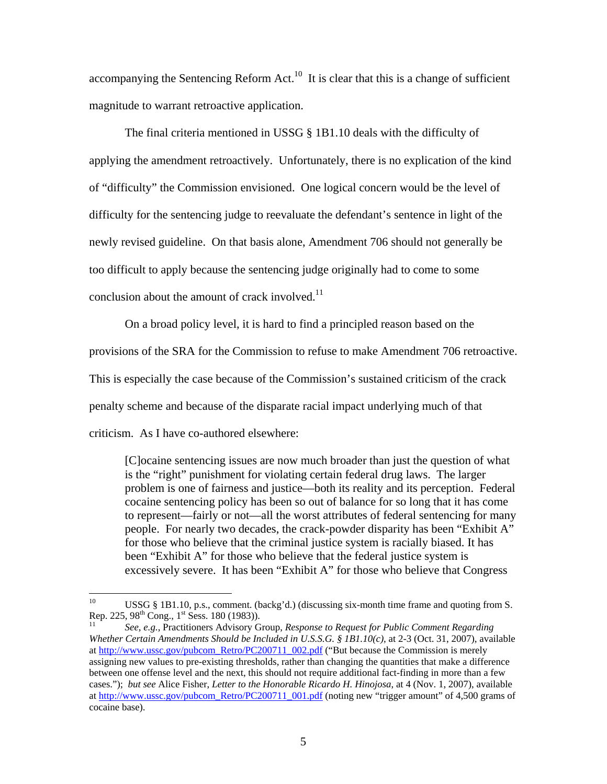accompanying the Sentencing Reform Act.<sup>10</sup> It is clear that this is a change of sufficient magnitude to warrant retroactive application.

The final criteria mentioned in USSG § 1B1.10 deals with the difficulty of applying the amendment retroactively. Unfortunately, there is no explication of the kind of "difficulty" the Commission envisioned. One logical concern would be the level of difficulty for the sentencing judge to reevaluate the defendant's sentence in light of the newly revised guideline. On that basis alone, Amendment 706 should not generally be too difficult to apply because the sentencing judge originally had to come to some conclusion about the amount of crack involved. $^{11}$ 

On a broad policy level, it is hard to find a principled reason based on the provisions of the SRA for the Commission to refuse to make Amendment 706 retroactive. This is especially the case because of the Commission's sustained criticism of the crack penalty scheme and because of the disparate racial impact underlying much of that criticism. As I have co-authored elsewhere:

[C]ocaine sentencing issues are now much broader than just the question of what is the "right" punishment for violating certain federal drug laws. The larger problem is one of fairness and justice—both its reality and its perception. Federal cocaine sentencing policy has been so out of balance for so long that it has come to represent—fairly or not—all the worst attributes of federal sentencing for many people. For nearly two decades, the crack-powder disparity has been "Exhibit A" for those who believe that the criminal justice system is racially biased. It has been "Exhibit A" for those who believe that the federal justice system is excessively severe. It has been "Exhibit A" for those who believe that Congress

 $10\,$ <sup>10</sup> USSG § 1B1.10, p.s., comment. (backg'd.) (discussing six-month time frame and quoting from S. Rep. 225, 98<sup>th</sup> Cong., 1<sup>st</sup> Sess. 180 (1983)).

Rep. 225, 98th Cong., 1st Sess. 180 (1983)). 11 *See, e.g.*, Practitioners Advisory Group, *Response to Request for Public Comment Regarding Whether Certain Amendments Should be Included in U.S.S.G. § 1B1.10(c)*, at 2-3 (Oct. 31, 2007), available at http://www.ussc.gov/pubcom\_Retro/PC200711\_002.pdf ("But because the Commission is merely assigning new values to pre-existing thresholds, rather than changing the quantities that make a difference between one offense level and the next, this should not require additional fact-finding in more than a few cases."); *but see* Alice Fisher, *Letter to the Honorable Ricardo H. Hinojosa*, at 4 (Nov. 1, 2007), available at http://www.ussc.gov/pubcom\_Retro/PC200711\_001.pdf (noting new "trigger amount" of 4,500 grams of cocaine base).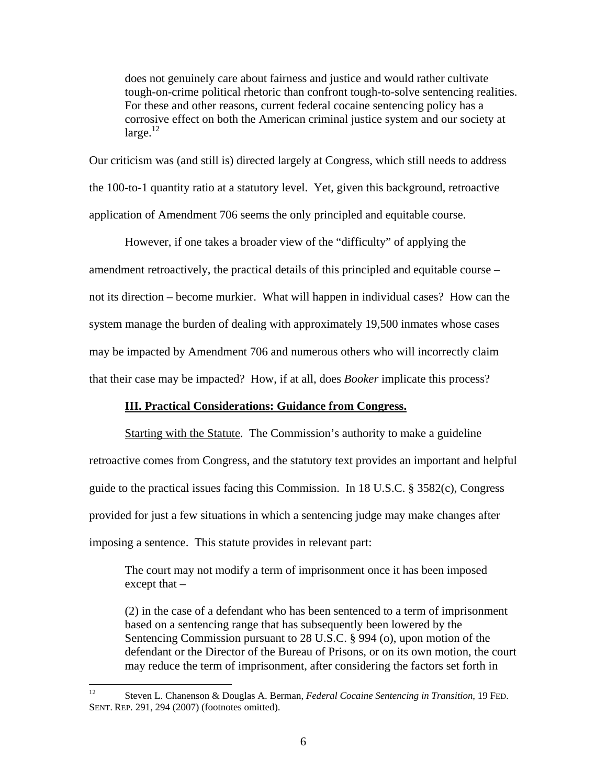does not genuinely care about fairness and justice and would rather cultivate tough-on-crime political rhetoric than confront tough-to-solve sentencing realities. For these and other reasons, current federal cocaine sentencing policy has a corrosive effect on both the American criminal justice system and our society at  $\text{large.}^{12}$ 

Our criticism was (and still is) directed largely at Congress, which still needs to address the 100-to-1 quantity ratio at a statutory level. Yet, given this background, retroactive application of Amendment 706 seems the only principled and equitable course.

 However, if one takes a broader view of the "difficulty" of applying the amendment retroactively, the practical details of this principled and equitable course – not its direction – become murkier. What will happen in individual cases? How can the system manage the burden of dealing with approximately 19,500 inmates whose cases may be impacted by Amendment 706 and numerous others who will incorrectly claim that their case may be impacted? How, if at all, does *Booker* implicate this process?

## **III. Practical Considerations: Guidance from Congress.**

Starting with the Statute. The Commission's authority to make a guideline retroactive comes from Congress, and the statutory text provides an important and helpful guide to the practical issues facing this Commission. In 18 U.S.C. § 3582(c), Congress provided for just a few situations in which a sentencing judge may make changes after imposing a sentence. This statute provides in relevant part:

The court may not modify a term of imprisonment once it has been imposed except that –

(2) in the case of a defendant who has been sentenced to a term of imprisonment based on a sentencing range that has subsequently been lowered by the Sentencing Commission pursuant to 28 U.S.C. § 994 (o), upon motion of the defendant or the Director of the Bureau of Prisons, or on its own motion, the court may reduce the term of imprisonment, after considering the factors set forth in

 $12 \,$ 12 Steven L. Chanenson & Douglas A. Berman, *Federal Cocaine Sentencing in Transition*, 19 FED. SENT. REP. 291, 294 (2007) (footnotes omitted).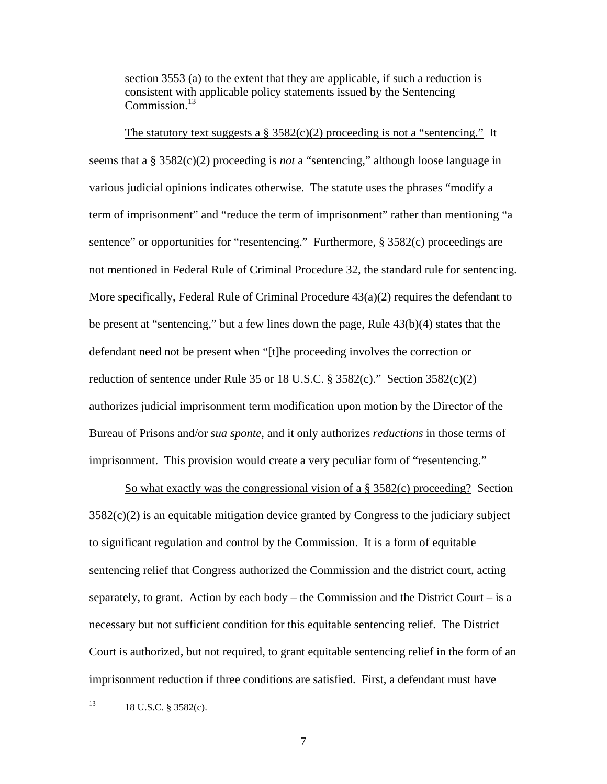section 3553 (a) to the extent that they are applicable, if such a reduction is consistent with applicable policy statements issued by the Sentencing Commission.<sup>13</sup>

The statutory text suggests a  $\S 3582(c)(2)$  proceeding is not a "sentencing." It seems that a § 3582(c)(2) proceeding is *not* a "sentencing," although loose language in various judicial opinions indicates otherwise. The statute uses the phrases "modify a term of imprisonment" and "reduce the term of imprisonment" rather than mentioning "a sentence" or opportunities for "resentencing." Furthermore, § 3582(c) proceedings are not mentioned in Federal Rule of Criminal Procedure 32, the standard rule for sentencing. More specifically, Federal Rule of Criminal Procedure 43(a)(2) requires the defendant to be present at "sentencing," but a few lines down the page, Rule 43(b)(4) states that the defendant need not be present when "[t]he proceeding involves the correction or reduction of sentence under Rule 35 or 18 U.S.C. § 3582(c)." Section  $3582(c)(2)$ authorizes judicial imprisonment term modification upon motion by the Director of the Bureau of Prisons and/or *sua sponte*, and it only authorizes *reductions* in those terms of imprisonment. This provision would create a very peculiar form of "resentencing."

So what exactly was the congressional vision of a § 3582(c) proceeding? Section 3582(c)(2) is an equitable mitigation device granted by Congress to the judiciary subject to significant regulation and control by the Commission. It is a form of equitable sentencing relief that Congress authorized the Commission and the district court, acting separately, to grant. Action by each body – the Commission and the District Court – is a necessary but not sufficient condition for this equitable sentencing relief. The District Court is authorized, but not required, to grant equitable sentencing relief in the form of an imprisonment reduction if three conditions are satisfied. First, a defendant must have

 $13$ 13 18 U.S.C. § 3582(c).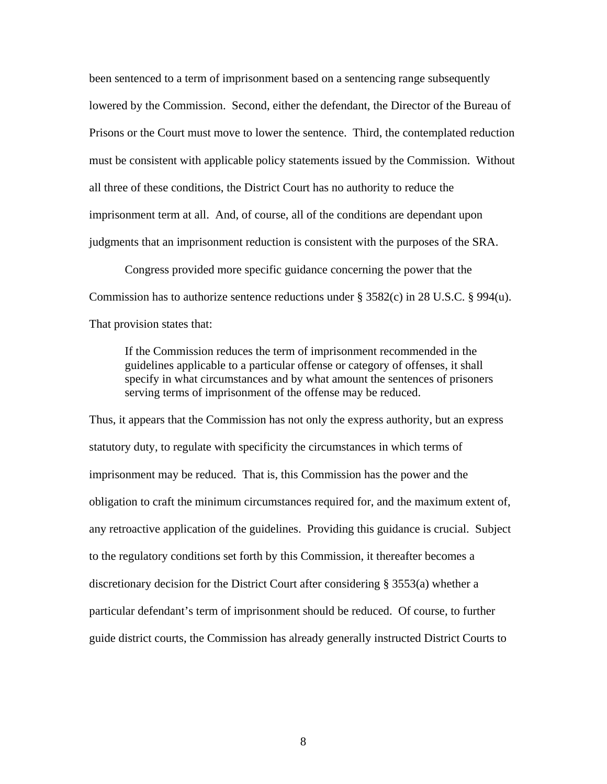been sentenced to a term of imprisonment based on a sentencing range subsequently lowered by the Commission. Second, either the defendant, the Director of the Bureau of Prisons or the Court must move to lower the sentence. Third, the contemplated reduction must be consistent with applicable policy statements issued by the Commission. Without all three of these conditions, the District Court has no authority to reduce the imprisonment term at all. And, of course, all of the conditions are dependant upon judgments that an imprisonment reduction is consistent with the purposes of the SRA.

Congress provided more specific guidance concerning the power that the Commission has to authorize sentence reductions under  $\S 3582(c)$  in 28 U.S.C.  $\S 994(u)$ . That provision states that:

If the Commission reduces the term of imprisonment recommended in the guidelines applicable to a particular offense or category of offenses, it shall specify in what circumstances and by what amount the sentences of prisoners serving terms of imprisonment of the offense may be reduced.

Thus, it appears that the Commission has not only the express authority, but an express statutory duty, to regulate with specificity the circumstances in which terms of imprisonment may be reduced. That is, this Commission has the power and the obligation to craft the minimum circumstances required for, and the maximum extent of, any retroactive application of the guidelines. Providing this guidance is crucial. Subject to the regulatory conditions set forth by this Commission, it thereafter becomes a discretionary decision for the District Court after considering § 3553(a) whether a particular defendant's term of imprisonment should be reduced. Of course, to further guide district courts, the Commission has already generally instructed District Courts to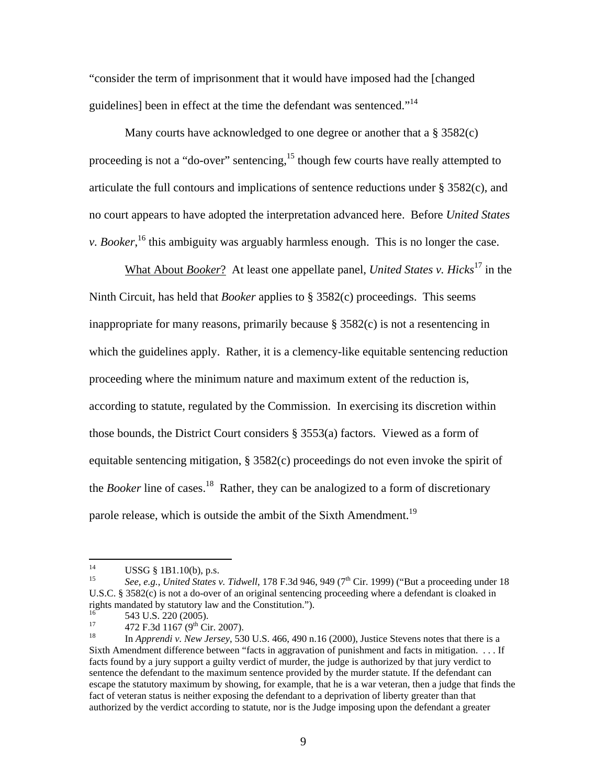"consider the term of imprisonment that it would have imposed had the [changed guidelines] been in effect at the time the defendant was sentenced."<sup>14</sup>

 Many courts have acknowledged to one degree or another that a § 3582(c) proceeding is not a "do-over" sentencing,<sup>15</sup> though few courts have really attempted to articulate the full contours and implications of sentence reductions under § 3582(c), and no court appears to have adopted the interpretation advanced here. Before *United States v. Booker*,<sup>16</sup> this ambiguity was arguably harmless enough. This is no longer the case.

What About *Booker*? At least one appellate panel, *United States v. Hicks*<sup>17</sup> in the Ninth Circuit, has held that *Booker* applies to § 3582(c) proceedings. This seems inappropriate for many reasons, primarily because § 3582(c) is not a resentencing in which the guidelines apply. Rather, it is a clemency-like equitable sentencing reduction proceeding where the minimum nature and maximum extent of the reduction is, according to statute, regulated by the Commission. In exercising its discretion within those bounds, the District Court considers § 3553(a) factors. Viewed as a form of equitable sentencing mitigation, § 3582(c) proceedings do not even invoke the spirit of the *Booker* line of cases.<sup>18</sup> Rather, they can be analogized to a form of discretionary parole release, which is outside the ambit of the Sixth Amendment.<sup>19</sup>

 $14$ <sup>14</sup> USSG § 1B1.10(b), p.s.<br><sup>15</sup> See e.g. United States

See, e.g., *United States v. Tidwell*, 178 F.3d 946, 949 (7<sup>th</sup> Cir. 1999) ("But a proceeding under 18 U.S.C. § 3582(c) is not a do-over of an original sentencing proceeding where a defendant is cloaked in rights mandated by statutory law and the Constitution.").

 $^{16}$  543 U.S. 220 (2005).<br><sup>17</sup> 472 F.3d 1167 (9<sup>th</sup> Cir. 2007).

<sup>&</sup>lt;sup>18</sup> In *Apprendi v. New Jersey*, 530 U.S. 466, 490 n.16 (2000), Justice Stevens notes that there is a Sixth Amendment difference between "facts in aggravation of punishment and facts in mitigation. . . . If facts found by a jury support a guilty verdict of murder, the judge is authorized by that jury verdict to sentence the defendant to the maximum sentence provided by the murder statute. If the defendant can escape the statutory maximum by showing, for example, that he is a war veteran, then a judge that finds the fact of veteran status is neither exposing the defendant to a deprivation of liberty greater than that authorized by the verdict according to statute, nor is the Judge imposing upon the defendant a greater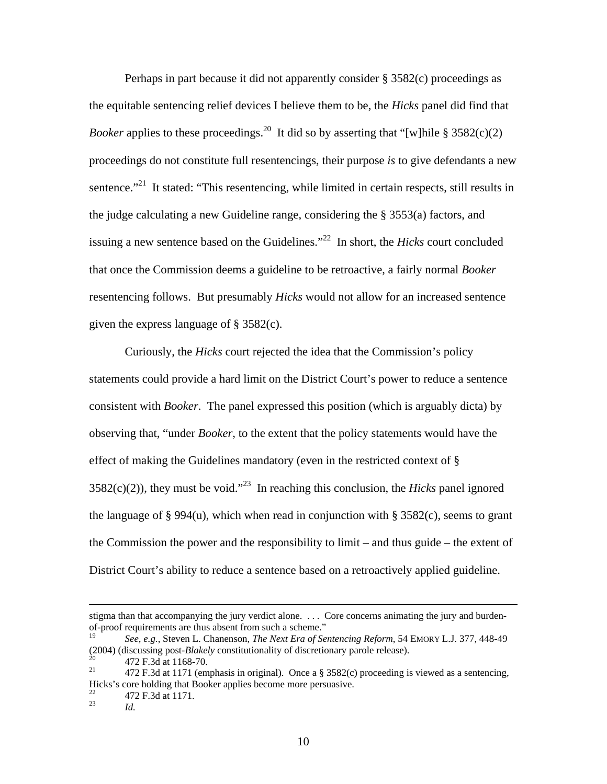Perhaps in part because it did not apparently consider § 3582(c) proceedings as the equitable sentencing relief devices I believe them to be, the *Hicks* panel did find that *Booker* applies to these proceedings.<sup>20</sup> It did so by asserting that "[w]hile § 3582(c)(2) proceedings do not constitute full resentencings, their purpose *is* to give defendants a new sentence. $^{221}$  It stated: "This resentencing, while limited in certain respects, still results in the judge calculating a new Guideline range, considering the § 3553(a) factors, and issuing a new sentence based on the Guidelines."22 In short, the *Hicks* court concluded that once the Commission deems a guideline to be retroactive, a fairly normal *Booker* resentencing follows. But presumably *Hicks* would not allow for an increased sentence given the express language of § 3582(c).

Curiously, the *Hicks* court rejected the idea that the Commission's policy statements could provide a hard limit on the District Court's power to reduce a sentence consistent with *Booker*. The panel expressed this position (which is arguably dicta) by observing that, "under *Booker*, to the extent that the policy statements would have the effect of making the Guidelines mandatory (even in the restricted context of §  $3582(c)(2)$ , they must be void."<sup>23</sup> In reaching this conclusion, the *Hicks* panel ignored the language of § 994(u), which when read in conjunction with § 3582(c), seems to grant the Commission the power and the responsibility to limit – and thus guide – the extent of District Court's ability to reduce a sentence based on a retroactively applied guideline.

stigma than that accompanying the jury verdict alone. . . . Core concerns animating the jury and burdenof-proof requirements are thus absent from such a scheme."

<sup>19</sup> *See, e.g.*, Steven L. Chanenson, *The Next Era of Sentencing Reform*, 54 EMORY L.J. 377, 448-49 (2004) (discussing post-*Blakely* constitutionality of discretionary parole release).<br>
<sup>20</sup> 472 F.3d at 1168-70.<br>
<sup>21</sup> 472 F.3d at 1171 (amphasis in griginal). Once a  $\frac{8.3582}{c}$  proceeding is

<sup>21 472</sup> F.3d at 1171 (emphasis in original). Once a § 3582(c) proceeding is viewed as a sentencing, Hicks's core holding that Booker applies become more persuasive.

 $^{22}$  472 F.3d at 1171.

*Id.*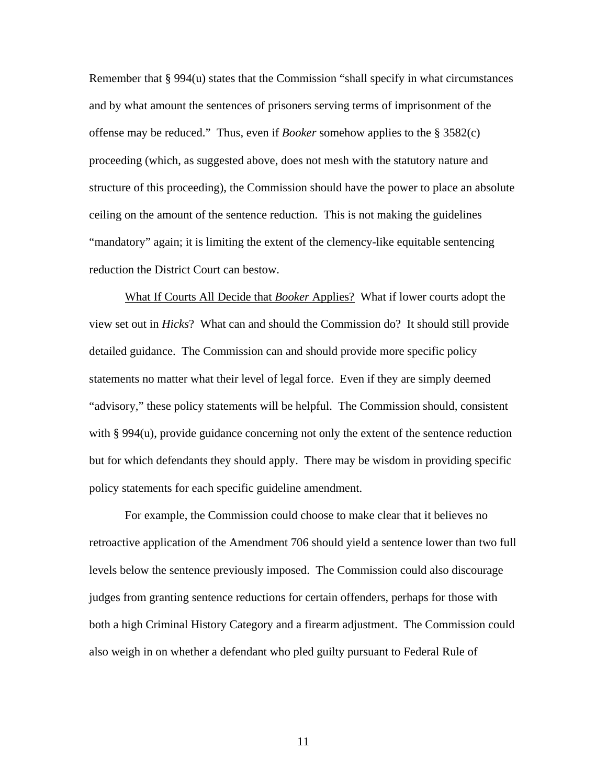Remember that  $\S 994(u)$  states that the Commission "shall specify in what circumstances" and by what amount the sentences of prisoners serving terms of imprisonment of the offense may be reduced." Thus, even if *Booker* somehow applies to the § 3582(c) proceeding (which, as suggested above, does not mesh with the statutory nature and structure of this proceeding), the Commission should have the power to place an absolute ceiling on the amount of the sentence reduction. This is not making the guidelines "mandatory" again; it is limiting the extent of the clemency-like equitable sentencing reduction the District Court can bestow.

What If Courts All Decide that *Booker* Applies? What if lower courts adopt the view set out in *Hicks*? What can and should the Commission do? It should still provide detailed guidance. The Commission can and should provide more specific policy statements no matter what their level of legal force. Even if they are simply deemed "advisory," these policy statements will be helpful. The Commission should, consistent with § 994(u), provide guidance concerning not only the extent of the sentence reduction but for which defendants they should apply. There may be wisdom in providing specific policy statements for each specific guideline amendment.

For example, the Commission could choose to make clear that it believes no retroactive application of the Amendment 706 should yield a sentence lower than two full levels below the sentence previously imposed. The Commission could also discourage judges from granting sentence reductions for certain offenders, perhaps for those with both a high Criminal History Category and a firearm adjustment. The Commission could also weigh in on whether a defendant who pled guilty pursuant to Federal Rule of

11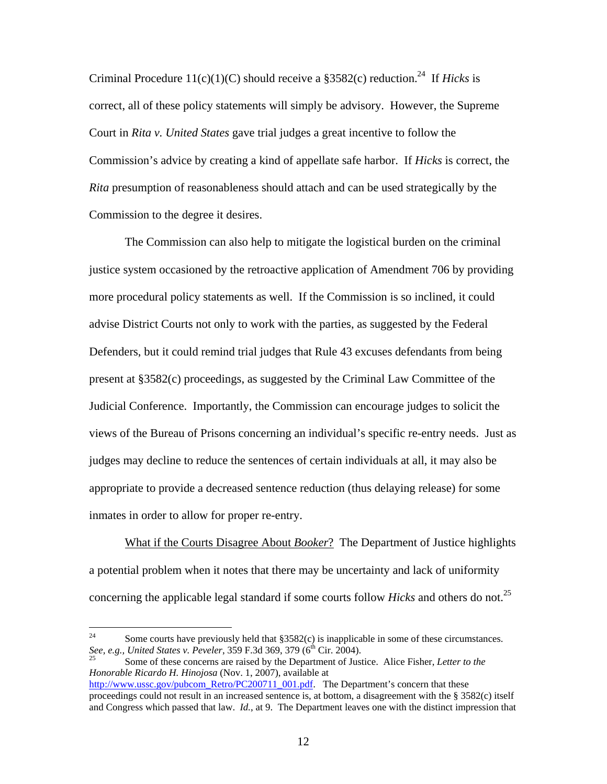Criminal Procedure  $11(c)(1)(C)$  should receive a §3582(c) reduction.<sup>24</sup> If *Hicks* is correct, all of these policy statements will simply be advisory. However, the Supreme Court in *Rita v. United States* gave trial judges a great incentive to follow the Commission's advice by creating a kind of appellate safe harbor. If *Hicks* is correct, the *Rita* presumption of reasonableness should attach and can be used strategically by the Commission to the degree it desires.

The Commission can also help to mitigate the logistical burden on the criminal justice system occasioned by the retroactive application of Amendment 706 by providing more procedural policy statements as well. If the Commission is so inclined, it could advise District Courts not only to work with the parties, as suggested by the Federal Defenders, but it could remind trial judges that Rule 43 excuses defendants from being present at §3582(c) proceedings, as suggested by the Criminal Law Committee of the Judicial Conference. Importantly, the Commission can encourage judges to solicit the views of the Bureau of Prisons concerning an individual's specific re-entry needs. Just as judges may decline to reduce the sentences of certain individuals at all, it may also be appropriate to provide a decreased sentence reduction (thus delaying release) for some inmates in order to allow for proper re-entry.

 What if the Courts Disagree About *Booker*? The Department of Justice highlights a potential problem when it notes that there may be uncertainty and lack of uniformity concerning the applicable legal standard if some courts follow *Hicks* and others do not.25

 $24$ <sup>24</sup> Some courts have previously held that §3582(c) is inapplicable in some of these circumstances.<br>See, e.g., United States v. Peveler, 359 F.3d 369, 379 (6<sup>th</sup> Cir. 2004).

Some of these concerns are raised by the Department of Justice. Alice Fisher, *Letter to the Honorable Ricardo H. Hinojosa* (Nov. 1, 2007), available at

http://www.ussc.gov/pubcom\_Retro/PC200711\_001.pdf. The Department's concern that these proceedings could not result in an increased sentence is, at bottom, a disagreement with the § 3582(c) itself and Congress which passed that law. *Id.*, at 9. The Department leaves one with the distinct impression that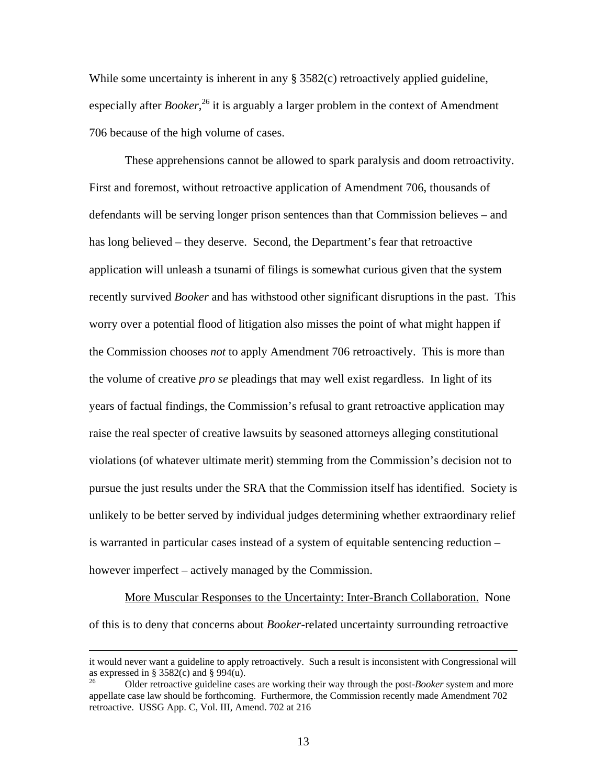While some uncertainty is inherent in any § 3582(c) retroactively applied guideline, especially after *Booker*,<sup>26</sup> it is arguably a larger problem in the context of Amendment 706 because of the high volume of cases.

These apprehensions cannot be allowed to spark paralysis and doom retroactivity. First and foremost, without retroactive application of Amendment 706, thousands of defendants will be serving longer prison sentences than that Commission believes – and has long believed – they deserve. Second, the Department's fear that retroactive application will unleash a tsunami of filings is somewhat curious given that the system recently survived *Booker* and has withstood other significant disruptions in the past. This worry over a potential flood of litigation also misses the point of what might happen if the Commission chooses *not* to apply Amendment 706 retroactively. This is more than the volume of creative *pro se* pleadings that may well exist regardless. In light of its years of factual findings, the Commission's refusal to grant retroactive application may raise the real specter of creative lawsuits by seasoned attorneys alleging constitutional violations (of whatever ultimate merit) stemming from the Commission's decision not to pursue the just results under the SRA that the Commission itself has identified. Society is unlikely to be better served by individual judges determining whether extraordinary relief is warranted in particular cases instead of a system of equitable sentencing reduction – however imperfect – actively managed by the Commission.

More Muscular Responses to the Uncertainty: Inter-Branch Collaboration. None of this is to deny that concerns about *Booker*-related uncertainty surrounding retroactive

it would never want a guideline to apply retroactively. Such a result is inconsistent with Congressional will as expressed in § 3582(c) and § 994(u).

<sup>26</sup> Older retroactive guideline cases are working their way through the post-*Booker* system and more appellate case law should be forthcoming. Furthermore, the Commission recently made Amendment 702 retroactive. USSG App. C, Vol. III, Amend. 702 at 216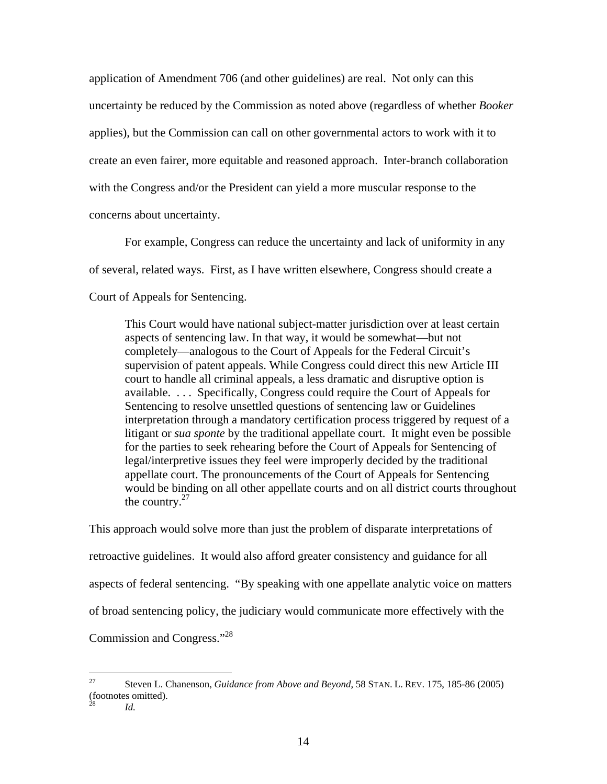application of Amendment 706 (and other guidelines) are real. Not only can this uncertainty be reduced by the Commission as noted above (regardless of whether *Booker* applies), but the Commission can call on other governmental actors to work with it to create an even fairer, more equitable and reasoned approach. Inter-branch collaboration with the Congress and/or the President can yield a more muscular response to the concerns about uncertainty.

For example, Congress can reduce the uncertainty and lack of uniformity in any of several, related ways. First, as I have written elsewhere, Congress should create a Court of Appeals for Sentencing.

This Court would have national subject-matter jurisdiction over at least certain aspects of sentencing law. In that way, it would be somewhat—but not completely—analogous to the Court of Appeals for the Federal Circuit's supervision of patent appeals. While Congress could direct this new Article III court to handle all criminal appeals, a less dramatic and disruptive option is available. . . . Specifically, Congress could require the Court of Appeals for Sentencing to resolve unsettled questions of sentencing law or Guidelines interpretation through a mandatory certification process triggered by request of a litigant or *sua sponte* by the traditional appellate court. It might even be possible for the parties to seek rehearing before the Court of Appeals for Sentencing of legal/interpretive issues they feel were improperly decided by the traditional appellate court. The pronouncements of the Court of Appeals for Sentencing would be binding on all other appellate courts and on all district courts throughout the country. $27$ 

This approach would solve more than just the problem of disparate interpretations of retroactive guidelines. It would also afford greater consistency and guidance for all aspects of federal sentencing. "By speaking with one appellate analytic voice on matters of broad sentencing policy, the judiciary would communicate more effectively with the Commission and Congress."28

*Id.* 

<sup>27</sup> 27 Steven L. Chanenson, *Guidance from Above and Beyond*, 58 STAN. L. REV. 175, 185-86 (2005) (footnotes omitted).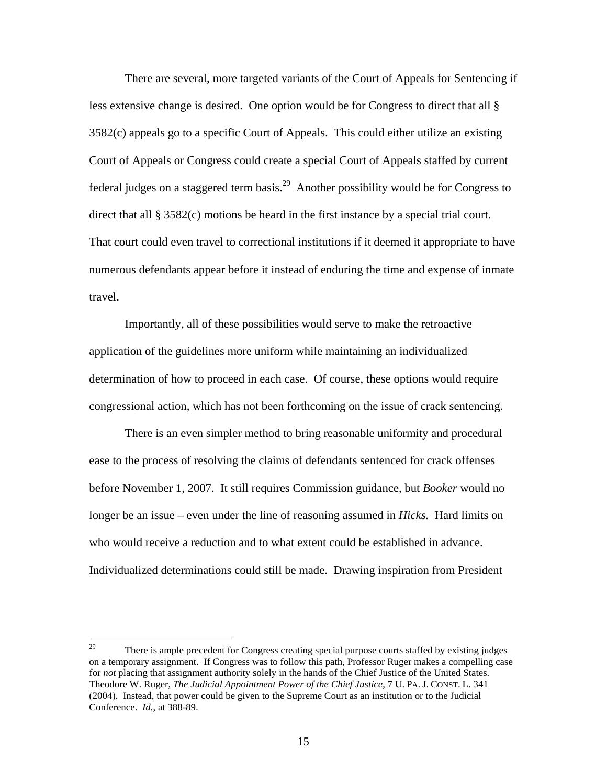There are several, more targeted variants of the Court of Appeals for Sentencing if less extensive change is desired. One option would be for Congress to direct that all § 3582(c) appeals go to a specific Court of Appeals. This could either utilize an existing Court of Appeals or Congress could create a special Court of Appeals staffed by current federal judges on a staggered term basis.<sup>29</sup> Another possibility would be for Congress to direct that all § 3582(c) motions be heard in the first instance by a special trial court. That court could even travel to correctional institutions if it deemed it appropriate to have numerous defendants appear before it instead of enduring the time and expense of inmate travel.

Importantly, all of these possibilities would serve to make the retroactive application of the guidelines more uniform while maintaining an individualized determination of how to proceed in each case. Of course, these options would require congressional action, which has not been forthcoming on the issue of crack sentencing.

 There is an even simpler method to bring reasonable uniformity and procedural ease to the process of resolving the claims of defendants sentenced for crack offenses before November 1, 2007. It still requires Commission guidance, but *Booker* would no longer be an issue – even under the line of reasoning assumed in *Hicks.* Hard limits on who would receive a reduction and to what extent could be established in advance. Individualized determinations could still be made. Drawing inspiration from President

<sup>29</sup> 29 There is ample precedent for Congress creating special purpose courts staffed by existing judges on a temporary assignment. If Congress was to follow this path, Professor Ruger makes a compelling case for *not* placing that assignment authority solely in the hands of the Chief Justice of the United States. Theodore W. Ruger, *The Judicial Appointment Power of the Chief Justice*, 7 U. PA. J. CONST. L. 341 (2004). Instead, that power could be given to the Supreme Court as an institution or to the Judicial Conference. *Id.*, at 388-89.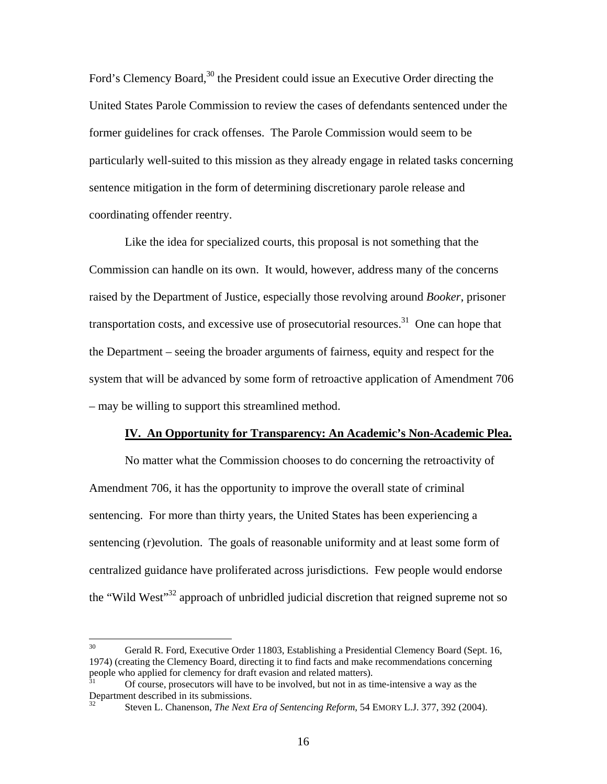Ford's Clemency Board,<sup>30</sup> the President could issue an Executive Order directing the United States Parole Commission to review the cases of defendants sentenced under the former guidelines for crack offenses. The Parole Commission would seem to be particularly well-suited to this mission as they already engage in related tasks concerning sentence mitigation in the form of determining discretionary parole release and coordinating offender reentry.

 Like the idea for specialized courts, this proposal is not something that the Commission can handle on its own. It would, however, address many of the concerns raised by the Department of Justice, especially those revolving around *Booker*, prisoner transportation costs, and excessive use of prosecutorial resources.<sup>31</sup> One can hope that the Department – seeing the broader arguments of fairness, equity and respect for the system that will be advanced by some form of retroactive application of Amendment 706 – may be willing to support this streamlined method.

### **IV. An Opportunity for Transparency: An Academic's Non-Academic Plea.**

No matter what the Commission chooses to do concerning the retroactivity of Amendment 706, it has the opportunity to improve the overall state of criminal sentencing. For more than thirty years, the United States has been experiencing a sentencing (r)evolution. The goals of reasonable uniformity and at least some form of centralized guidance have proliferated across jurisdictions. Few people would endorse the "Wild West"<sup>32</sup> approach of unbridled judicial discretion that reigned supreme not so

 $30<sup>°</sup>$ 30 Gerald R. Ford, Executive Order 11803, Establishing a Presidential Clemency Board (Sept. 16, 1974) (creating the Clemency Board, directing it to find facts and make recommendations concerning people who applied for clemency for draft evasion and related matters).

<sup>31</sup> Of course, prosecutors will have to be involved, but not in as time-intensive a way as the Department described in its submissions.

<sup>32</sup> Steven L. Chanenson, *The Next Era of Sentencing Reform*, 54 EMORY L.J. 377, 392 (2004).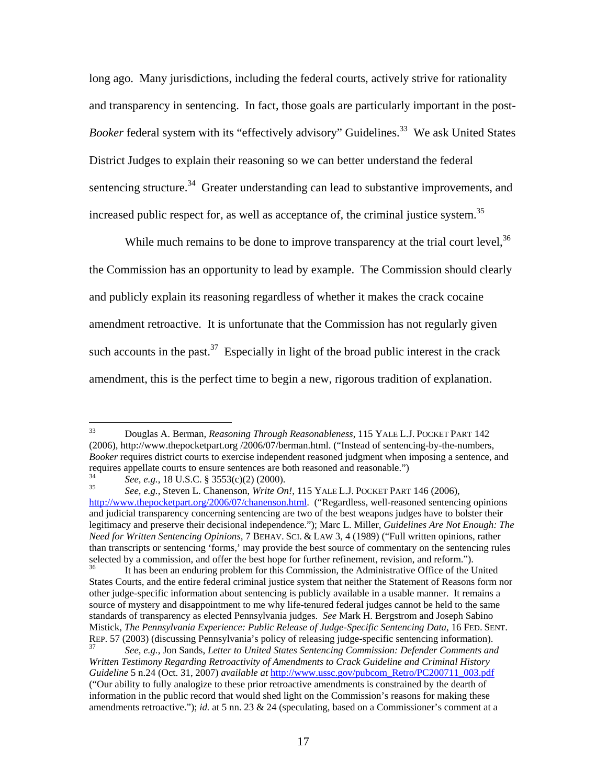long ago. Many jurisdictions, including the federal courts, actively strive for rationality and transparency in sentencing. In fact, those goals are particularly important in the post-*Booker* federal system with its "effectively advisory" Guidelines.<sup>33</sup> We ask United States District Judges to explain their reasoning so we can better understand the federal sentencing structure.<sup>34</sup> Greater understanding can lead to substantive improvements, and increased public respect for, as well as acceptance of, the criminal justice system.<sup>35</sup>

While much remains to be done to improve transparency at the trial court level,  $36$ the Commission has an opportunity to lead by example. The Commission should clearly and publicly explain its reasoning regardless of whether it makes the crack cocaine amendment retroactive. It is unfortunate that the Commission has not regularly given such accounts in the past.<sup>37</sup> Especially in light of the broad public interest in the crack amendment, this is the perfect time to begin a new, rigorous tradition of explanation.

<sup>33</sup> 33 Douglas A. Berman, *Reasoning Through Reasonableness*, 115 YALE L.J. POCKET PART 142 (2006), http://www.thepocketpart.org /2006/07/berman.html. ("Instead of sentencing-by-the-numbers, *Booker* requires district courts to exercise independent reasoned judgment when imposing a sentence, and requires appellate courts to ensure sentences are both reasoned and reasonable.")<br>  $See, e.g., 18 \text{ U.S.C. } $ 3553(c)(2) (2000).$ <br>  $See, e.g., 5teven L. Chanenson, *Write On!, 115* YALE L.J. POCKET PART 146 (2006),$ 

http://www.thepocketpart.org/2006/07/chanenson.html. ("Regardless, well-reasoned sentencing opinions and judicial transparency concerning sentencing are two of the best weapons judges have to bolster their legitimacy and preserve their decisional independence."); Marc L. Miller, *Guidelines Are Not Enough: The Need for Written Sentencing Opinions*, 7 BEHAV. SCI. & LAW 3, 4 (1989) ("Full written opinions, rather than transcripts or sentencing 'forms,' may provide the best source of commentary on the sentencing rules selected by a commission, and offer the best hope for further refinement, revision, and reform.").

<sup>36</sup> It has been an enduring problem for this Commission, the Administrative Office of the United States Courts, and the entire federal criminal justice system that neither the Statement of Reasons form nor other judge-specific information about sentencing is publicly available in a usable manner. It remains a source of mystery and disappointment to me why life-tenured federal judges cannot be held to the same standards of transparency as elected Pennsylvania judges. *See* Mark H. Bergstrom and Joseph Sabino Mistick, *The Pennsylvania Experience: Public Release of Judge-Specific Sentencing Data*, 16 FED. SENT. REP. 57 (2003) (discussing Pennsylvania's policy of releasing judge-specific sentencing information). 37 *See, e.g.*, Jon Sands, *Letter to United States Sentencing Commission: Defender Comments and* 

*Written Testimony Regarding Retroactivity of Amendments to Crack Guideline and Criminal History Guideline* 5 n.24 (Oct. 31, 2007) *available at* http://www.ussc.gov/pubcom\_Retro/PC200711\_003.pdf ("Our ability to fully analogize to these prior retroactive amendments is constrained by the dearth of information in the public record that would shed light on the Commission's reasons for making these amendments retroactive."); *id.* at 5 nn. 23 & 24 (speculating, based on a Commissioner's comment at a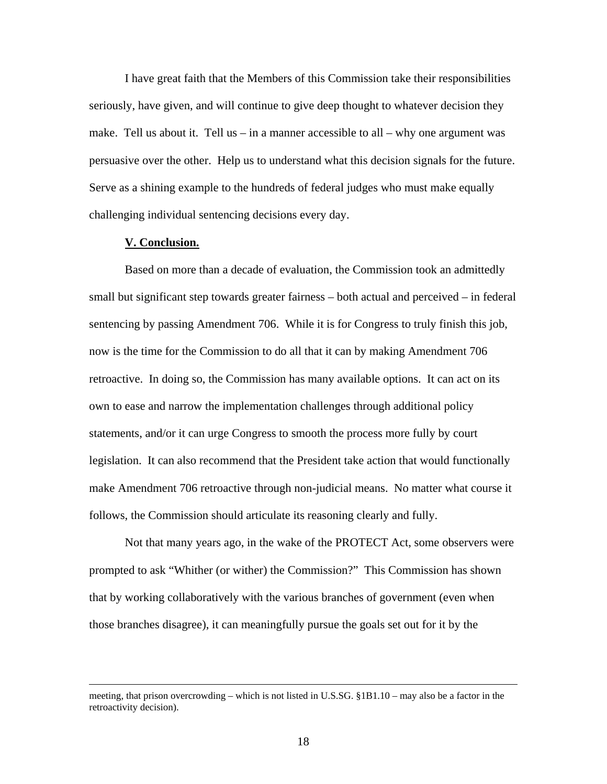I have great faith that the Members of this Commission take their responsibilities seriously, have given, and will continue to give deep thought to whatever decision they make. Tell us about it. Tell us – in a manner accessible to all – why one argument was persuasive over the other. Help us to understand what this decision signals for the future. Serve as a shining example to the hundreds of federal judges who must make equally challenging individual sentencing decisions every day.

### **V. Conclusion.**

Based on more than a decade of evaluation, the Commission took an admittedly small but significant step towards greater fairness – both actual and perceived – in federal sentencing by passing Amendment 706. While it is for Congress to truly finish this job, now is the time for the Commission to do all that it can by making Amendment 706 retroactive. In doing so, the Commission has many available options. It can act on its own to ease and narrow the implementation challenges through additional policy statements, and/or it can urge Congress to smooth the process more fully by court legislation. It can also recommend that the President take action that would functionally make Amendment 706 retroactive through non-judicial means. No matter what course it follows, the Commission should articulate its reasoning clearly and fully.

Not that many years ago, in the wake of the PROTECT Act, some observers were prompted to ask "Whither (or wither) the Commission?" This Commission has shown that by working collaboratively with the various branches of government (even when those branches disagree), it can meaningfully pursue the goals set out for it by the

meeting, that prison overcrowding – which is not listed in U.S.SG. §1B1.10 – may also be a factor in the retroactivity decision).